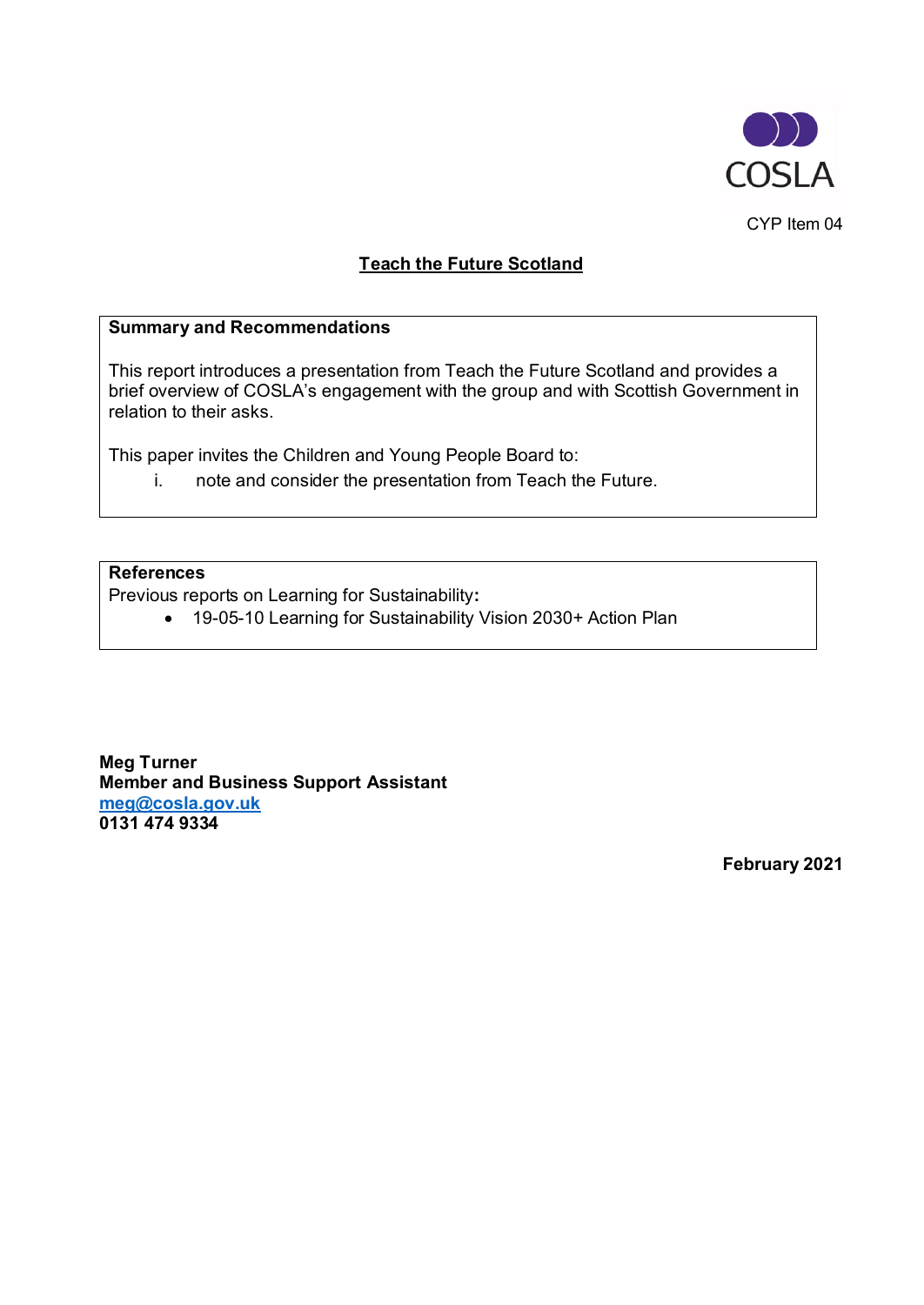

CYP Item 04

# **Teach the Future Scotland**

# **Summary and Recommendations**

This report introduces a presentation from Teach the Future Scotland and provides a brief overview of COSLA's engagement with the group and with Scottish Government in relation to their asks.

This paper invites the Children and Young People Board to:

i. note and consider the presentation from Teach the Future.

# **References**

Previous reports on Learning for Sustainability**:**

• 19-05-10 Learning for Sustainability Vision 2030+ Action Plan

**Meg Turner Member and Business Support Assistant [meg@cosla.gov.uk](mailto:robertm@cosla.gov.uk) 0131 474 9334**

**February 2021**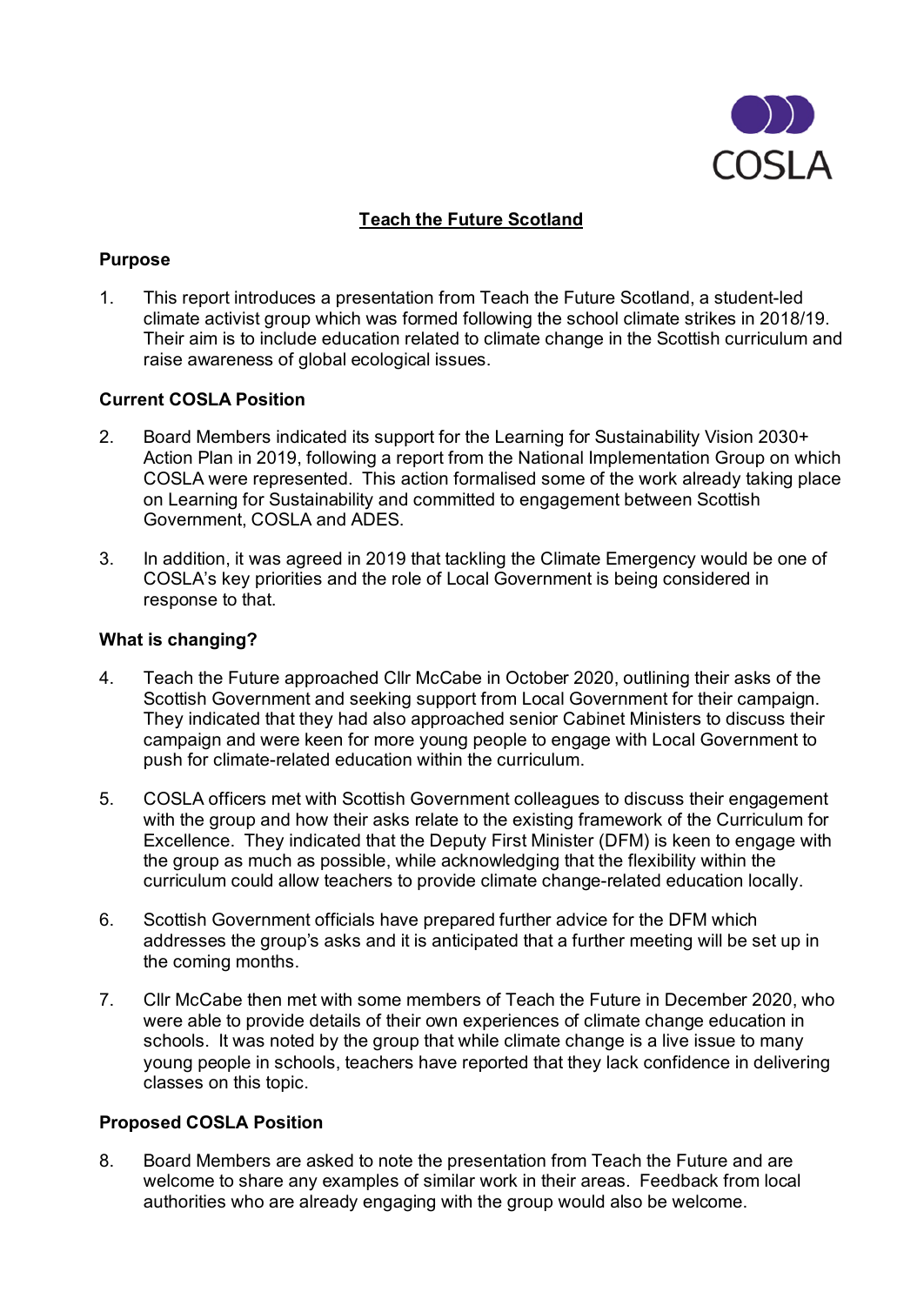

# **Teach the Future Scotland**

## **Purpose**

1. This report introduces a presentation from Teach the Future Scotland, a student-led climate activist group which was formed following the school climate strikes in 2018/19. Their aim is to include education related to climate change in the Scottish curriculum and raise awareness of global ecological issues.

## **Current COSLA Position**

- 2. Board Members indicated its support for the Learning for Sustainability Vision 2030+ Action Plan in 2019, following a report from the National Implementation Group on which COSLA were represented. This action formalised some of the work already taking place on Learning for Sustainability and committed to engagement between Scottish Government, COSLA and ADES.
- 3. In addition, it was agreed in 2019 that tackling the Climate Emergency would be one of COSLA's key priorities and the role of Local Government is being considered in response to that.

#### **What is changing?**

- 4. Teach the Future approached Cllr McCabe in October 2020, outlining their asks of the Scottish Government and seeking support from Local Government for their campaign. They indicated that they had also approached senior Cabinet Ministers to discuss their campaign and were keen for more young people to engage with Local Government to push for climate-related education within the curriculum.
- 5. COSLA officers met with Scottish Government colleagues to discuss their engagement with the group and how their asks relate to the existing framework of the Curriculum for Excellence. They indicated that the Deputy First Minister (DFM) is keen to engage with the group as much as possible, while acknowledging that the flexibility within the curriculum could allow teachers to provide climate change-related education locally.
- 6. Scottish Government officials have prepared further advice for the DFM which addresses the group's asks and it is anticipated that a further meeting will be set up in the coming months.
- 7. Cllr McCabe then met with some members of Teach the Future in December 2020, who were able to provide details of their own experiences of climate change education in schools. It was noted by the group that while climate change is a live issue to many young people in schools, teachers have reported that they lack confidence in delivering classes on this topic.

#### **Proposed COSLA Position**

8. Board Members are asked to note the presentation from Teach the Future and are welcome to share any examples of similar work in their areas. Feedback from local authorities who are already engaging with the group would also be welcome.